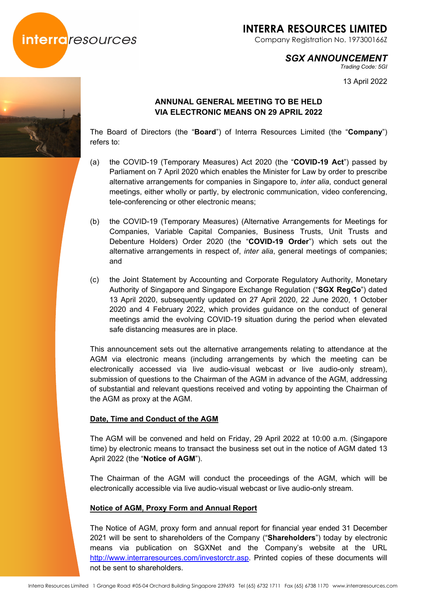

# **INTERRA RESOURCES LIMITED**

Company Registration No. 197300166Z

### *SGX ANNOUNCEMENT*

*Trading Code: 5GI* 

13 April 2022

### **ANNUNAL GENERAL MEETING TO BE HELD VIA ELECTRONIC MEANS ON 29 APRIL 2022**

The Board of Directors (the "**Board**") of Interra Resources Limited (the "**Company**") refers to:

- (a) the COVID-19 (Temporary Measures) Act 2020 (the "**COVID-19 Act**") passed by Parliament on 7 April 2020 which enables the Minister for Law by order to prescribe alternative arrangements for companies in Singapore to, *inter alia*, conduct general meetings, either wholly or partly, by electronic communication, video conferencing, tele-conferencing or other electronic means;
- (b) the COVID-19 (Temporary Measures) (Alternative Arrangements for Meetings for Companies, Variable Capital Companies, Business Trusts, Unit Trusts and Debenture Holders) Order 2020 (the "**COVID-19 Order**") which sets out the alternative arrangements in respect of, *inter alia*, general meetings of companies; and
- (c) the Joint Statement by Accounting and Corporate Regulatory Authority, Monetary Authority of Singapore and Singapore Exchange Regulation ("**SGX RegCo**") dated 13 April 2020, subsequently updated on 27 April 2020, 22 June 2020, 1 October 2020 and 4 February 2022, which provides guidance on the conduct of general meetings amid the evolving COVID-19 situation during the period when elevated safe distancing measures are in place.

This announcement sets out the alternative arrangements relating to attendance at the AGM via electronic means (including arrangements by which the meeting can be electronically accessed via live audio-visual webcast or live audio-only stream), submission of questions to the Chairman of the AGM in advance of the AGM, addressing of substantial and relevant questions received and voting by appointing the Chairman of the AGM as proxy at the AGM.

#### **Date, Time and Conduct of the AGM**

The AGM will be convened and held on Friday, 29 April 2022 at 10:00 a.m. (Singapore time) by electronic means to transact the business set out in the notice of AGM dated 13 April 2022 (the "**Notice of AGM**").

The Chairman of the AGM will conduct the proceedings of the AGM, which will be electronically accessible via live audio-visual webcast or live audio-only stream.

#### **Notice of AGM, Proxy Form and Annual Report**

The Notice of AGM, proxy form and annual report for financial year ended 31 December 2021 will be sent to shareholders of the Company ("**Shareholders**") today by electronic means via publication on SGXNet and the Company's website at the URL http://www.interraresources.com/investorctr.asp. Printed copies of these documents will not be sent to shareholders.

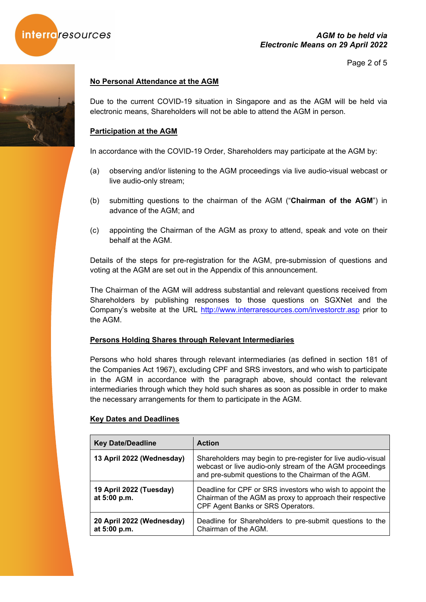

Page 2 of 5

#### **No Personal Attendance at the AGM**

Due to the current COVID-19 situation in Singapore and as the AGM will be held via electronic means, Shareholders will not be able to attend the AGM in person.

#### **Participation at the AGM**

In accordance with the COVID-19 Order, Shareholders may participate at the AGM by:

- (a) observing and/or listening to the AGM proceedings via live audio-visual webcast or live audio-only stream;
- (b) submitting questions to the chairman of the AGM ("**Chairman of the AGM**") in advance of the AGM; and
- (c) appointing the Chairman of the AGM as proxy to attend, speak and vote on their behalf at the AGM.

Details of the steps for pre-registration for the AGM, pre-submission of questions and voting at the AGM are set out in the Appendix of this announcement.

The Chairman of the AGM will address substantial and relevant questions received from Shareholders by publishing responses to those questions on SGXNet and the Company's website at the URL http://www.interraresources.com/investorctr.asp prior to the AGM.

#### **Persons Holding Shares through Relevant Intermediaries**

Persons who hold shares through relevant intermediaries (as defined in section 181 of the Companies Act 1967), excluding CPF and SRS investors, and who wish to participate in the AGM in accordance with the paragraph above, should contact the relevant intermediaries through which they hold such shares as soon as possible in order to make the necessary arrangements for them to participate in the AGM.

#### **Key Dates and Deadlines**

| <b>Key Date/Deadline</b>                  | <b>Action</b>                                                                                                                                                                    |
|-------------------------------------------|----------------------------------------------------------------------------------------------------------------------------------------------------------------------------------|
| 13 April 2022 (Wednesday)                 | Shareholders may begin to pre-register for live audio-visual<br>webcast or live audio-only stream of the AGM proceedings<br>and pre-submit questions to the Chairman of the AGM. |
| 19 April 2022 (Tuesday)<br>at 5:00 p.m.   | Deadline for CPF or SRS investors who wish to appoint the<br>Chairman of the AGM as proxy to approach their respective<br>CPF Agent Banks or SRS Operators.                      |
| 20 April 2022 (Wednesday)<br>at 5:00 p.m. | Deadline for Shareholders to pre-submit questions to the<br>Chairman of the AGM.                                                                                                 |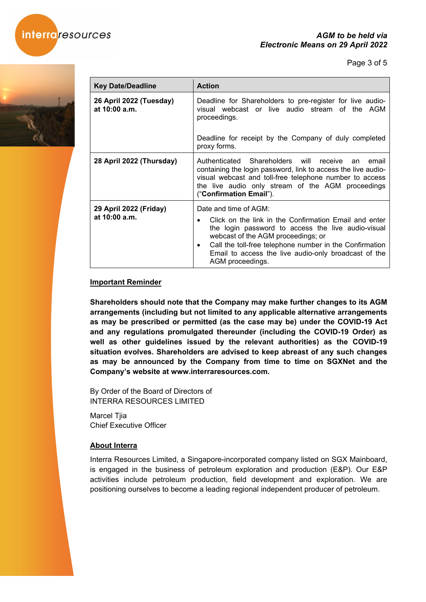

Page 3 of 5



| <b>Key Date/Deadline</b>                 | <b>Action</b>                                                                                                                                                                                                                                                                                                                               |
|------------------------------------------|---------------------------------------------------------------------------------------------------------------------------------------------------------------------------------------------------------------------------------------------------------------------------------------------------------------------------------------------|
| 26 April 2022 (Tuesday)<br>at 10:00 a.m. | Deadline for Shareholders to pre-register for live audio-<br>visual webcast or live audio stream of the AGM<br>proceedings.                                                                                                                                                                                                                 |
|                                          | Deadline for receipt by the Company of duly completed<br>proxy forms.                                                                                                                                                                                                                                                                       |
| 28 April 2022 (Thursday)                 | Authenticated Shareholders will receive<br>email<br>an<br>containing the login password, link to access the live audio-<br>visual webcast and toll-free telephone number to access<br>the live audio only stream of the AGM proceedings<br>("Confirmation Email").                                                                          |
| 29 April 2022 (Friday)<br>at 10:00 a.m.  | Date and time of AGM:<br>Click on the link in the Confirmation Email and enter<br>$\bullet$<br>the login password to access the live audio-visual<br>webcast of the AGM proceedings; or<br>Call the toll-free telephone number in the Confirmation<br>$\bullet$<br>Email to access the live audio-only broadcast of the<br>AGM proceedings. |

#### **Important Reminder**

**Shareholders should note that the Company may make further changes to its AGM arrangements (including but not limited to any applicable alternative arrangements as may be prescribed or permitted (as the case may be) under the COVID-19 Act and any regulations promulgated thereunder (including the COVID-19 Order) as well as other guidelines issued by the relevant authorities) as the COVID-19 situation evolves. Shareholders are advised to keep abreast of any such changes as may be announced by the Company from time to time on SGXNet and the Company's website at www.interraresources.com.**

By Order of the Board of Directors of INTERRA RESOURCES LIMITED

Marcel Tjia Chief Executive Officer

#### **About Interra**

Interra Resources Limited, a Singapore-incorporated company listed on SGX Mainboard, is engaged in the business of petroleum exploration and production (E&P). Our E&P activities include petroleum production, field development and exploration. We are positioning ourselves to become a leading regional independent producer of petroleum.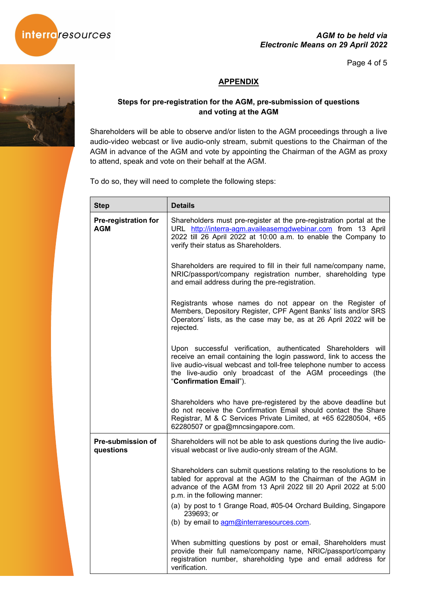

#### *AGM to be held via Electronic Means on 29 April 2022*

Page 4 of 5

## **APPENDIX**

### **Steps for pre-registration for the AGM, pre-submission of questions and voting at the AGM**

Shareholders will be able to observe and/or listen to the AGM proceedings through a live audio-video webcast or live audio-only stream, submit questions to the Chairman of the AGM in advance of the AGM and vote by appointing the Chairman of the AGM as proxy to attend, speak and vote on their behalf at the AGM.

To do so, they will need to complete the following steps:

| <b>Step</b>                               | <b>Details</b>                                                                                                                                                                                                                                                                                   |
|-------------------------------------------|--------------------------------------------------------------------------------------------------------------------------------------------------------------------------------------------------------------------------------------------------------------------------------------------------|
| <b>Pre-registration for</b><br><b>AGM</b> | Shareholders must pre-register at the pre-registration portal at the<br>URL http://interra-agm.availeasemgdwebinar.com from 13 April<br>2022 till 26 April 2022 at 10:00 a.m. to enable the Company to<br>verify their status as Shareholders.                                                   |
|                                           | Shareholders are required to fill in their full name/company name,<br>NRIC/passport/company registration number, shareholding type<br>and email address during the pre-registration.                                                                                                             |
|                                           | Registrants whose names do not appear on the Register of<br>Members, Depository Register, CPF Agent Banks' lists and/or SRS<br>Operators' lists, as the case may be, as at 26 April 2022 will be<br>rejected.                                                                                    |
|                                           | Upon successful verification, authenticated Shareholders will<br>receive an email containing the login password, link to access the<br>live audio-visual webcast and toll-free telephone number to access<br>the live-audio only broadcast of the AGM proceedings (the<br>"Confirmation Email"). |
|                                           | Shareholders who have pre-registered by the above deadline but<br>do not receive the Confirmation Email should contact the Share<br>Registrar, M & C Services Private Limited, at +65 62280504, +65<br>62280507 or gpa@mncsingapore.com.                                                         |
| Pre-submission of<br>questions            | Shareholders will not be able to ask questions during the live audio-<br>visual webcast or live audio-only stream of the AGM.                                                                                                                                                                    |
|                                           | Shareholders can submit questions relating to the resolutions to be<br>tabled for approval at the AGM to the Chairman of the AGM in<br>advance of the AGM from 13 April 2022 till 20 April 2022 at 5:00<br>p.m. in the following manner:                                                         |
|                                           | (a) by post to 1 Grange Road, #05-04 Orchard Building, Singapore<br>239693; or<br>(b) by email to agm@interraresources.com.                                                                                                                                                                      |
|                                           | When submitting questions by post or email, Shareholders must<br>provide their full name/company name, NRIC/passport/company<br>registration number, shareholding type and email address for<br>verification.                                                                                    |